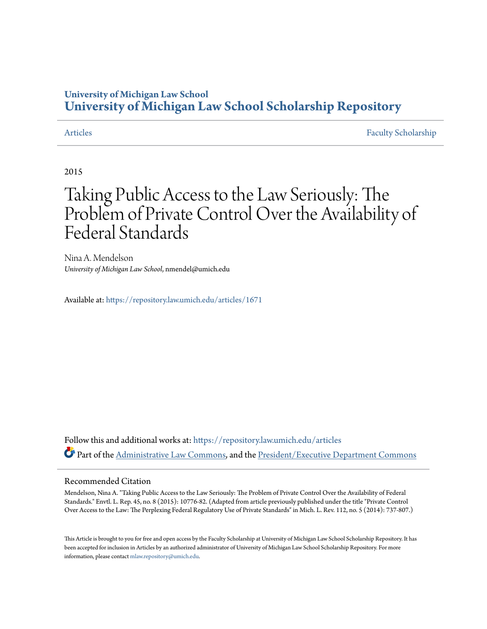### **University of Michigan Law School [University of Michigan Law School Scholarship Repository](https://repository.law.umich.edu?utm_source=repository.law.umich.edu%2Farticles%2F1671&utm_medium=PDF&utm_campaign=PDFCoverPages)**

[Articles](https://repository.law.umich.edu/articles?utm_source=repository.law.umich.edu%2Farticles%2F1671&utm_medium=PDF&utm_campaign=PDFCoverPages) [Faculty Scholarship](https://repository.law.umich.edu/faculty_scholarship?utm_source=repository.law.umich.edu%2Farticles%2F1671&utm_medium=PDF&utm_campaign=PDFCoverPages)

2015

# Taking Public Access to the Law Seriously: The Problem of Private Control Over the Availability of Federal Standards

Nina A. Mendelson *University of Michigan Law School*, nmendel@umich.edu

Available at: <https://repository.law.umich.edu/articles/1671>

Follow this and additional works at: [https://repository.law.umich.edu/articles](https://repository.law.umich.edu/articles?utm_source=repository.law.umich.edu%2Farticles%2F1671&utm_medium=PDF&utm_campaign=PDFCoverPages) Part of the [Administrative Law Commons,](http://network.bepress.com/hgg/discipline/579?utm_source=repository.law.umich.edu%2Farticles%2F1671&utm_medium=PDF&utm_campaign=PDFCoverPages) and the [President/Executive Department Commons](http://network.bepress.com/hgg/discipline/1118?utm_source=repository.law.umich.edu%2Farticles%2F1671&utm_medium=PDF&utm_campaign=PDFCoverPages)

#### Recommended Citation

Mendelson, Nina A. "Taking Public Access to the Law Seriously: The Problem of Private Control Over the Availability of Federal Standards." Envtl. L. Rep. 45, no. 8 (2015): 10776-82. (Adapted from article previously published under the title "Private Control Over Access to the Law: The Perplexing Federal Regulatory Use of Private Standards" in Mich. L. Rev. 112, no. 5 (2014): 737-807.)

This Article is brought to you for free and open access by the Faculty Scholarship at University of Michigan Law School Scholarship Repository. It has been accepted for inclusion in Articles by an authorized administrator of University of Michigan Law School Scholarship Repository. For more information, please contact [mlaw.repository@umich.edu.](mailto:mlaw.repository@umich.edu)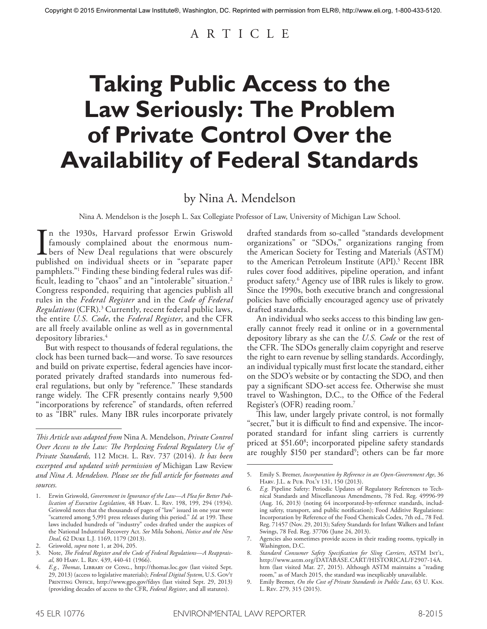# A R T I C L E

# **Taking Public Access to the Law Seriously: The Problem of Private Control Over the Availability of Federal Standards**

## by Nina A. Mendelson

Nina A. Mendelson is the Joseph L. Sax Collegiate Professor of Law, University of Michigan Law School.

In the 1930s, Harvard professor Erwin Griswold<br>famously complained about the enormous num-<br>bers of New Deal regulations that were obscurely<br>published on individual sheets or in "separate paper n the 1930s, Harvard professor Erwin Griswold famously complained about the enormous num-**L** bers of New Deal regulations that were obscurely pamphlets."1 Finding these binding federal rules was difficult, leading to "chaos" and an "intolerable" situation. 2 Congress responded, requiring that agencies publish all rules in the *Federal Register* and in the *Code of Federal Regulations* (CFR). 3 Currently, recent federal public laws, the entire *U.S. Code*, the *Federal Register*, and the CFR are all freely available online as well as in governmental depository libraries. 4

But with respect to thousands of federal regulations, the clock has been turned back—and worse. To save resources and build on private expertise, federal agencies have incorporated privately drafted standards into numerous federal regulations, but only by "reference." These standards range widely. The CFR presently contains nearly 9,500 "incorporations by reference" of standards, often referred to as "IBR" rules. Many IBR rules incorporate privately drafted standards from so-called "standards development organizations" or "SDOs," organizations ranging from the American Society for Testing and Materials (ASTM) to the American Petroleum Institute (API). 5 Recent IBR rules cover food additives, pipeline operation, and infant product safety. 6 Agency use of IBR rules is likely to grow. Since the 1990s, both executive branch and congressional policies have officially encouraged agency use of privately drafted standards.

An individual who seeks access to this binding law generally cannot freely read it online or in a governmental depository library as she can the *U.S. Code* or the rest of the CFR. The SDOs generally claim copyright and reserve the right to earn revenue by selling standards. Accordingly, an individual typically must first locate the standard, either on the SDO's website or by contacting the SDO, and then pay a significant SDO-set access fee. Otherwise she must travel to Washington, D.C., to the Office of the Federal Register's (OFR) reading room. 7

This law, under largely private control, is not formally "secret," but it is difficult to find and expensive. The incorporated standard for infant sling carriers is currently priced at \$51.608 ; incorporated pipeline safety standards are roughly \$150 per standard<sup>9</sup>; others can be far more

*This Article was adapted from* Nina A. Mendelson, *Private Control Over Access to the Law: The Perplexing Federal Regulatory Use of Private Standards,* 112 Mich. L. Rev. 737 (2014)*. It has been excerpted and updated with permission of* Michigan Law Review *and Nina A. Mendelson. Please see the full article for footnotes and sources.*

<sup>1.</sup> Erwin Griswold, *Government in Ignorance of the Law—A Plea for Better Publication of Executive Legislation*, 48 Harv. L. Rev. 198, 199, 294 (1934). Griswold notes that the thousands of pages of "law" issued in one year were "scattered among 5,991 press releases during this period." *Id.* at 199. These laws included hundreds of "industry" codes drafted under the auspices of the National Industrial Recovery Act. *See* Mila Sohoni, *Notice and the New Deal*, 62 Duke L.J. 1169, 1179 (2013).

<sup>2.</sup> Griswold, *supra* note 1, at 204, 205.

<sup>3.</sup> Note, *The Federal Register and the Code of Federal Regulations—A Reappraisal*, 80 Harv. L. Rev. 439, 440-41 (1966).

<sup>4.</sup> *E.g.*, *Thomas*, Library of Cong., http://thomas.loc.gov (last visited Sept. 29, 2013) (access to legislative materials); *Federal Digital System*, U.S. Gov't PRINTING OFFICE, http://www.gpo.gov/fdsys (last visited Sept. 29, 2013) (providing decades of access to the CFR, *Federal Register*, and all statutes).

<sup>5.</sup> Emily S. Bremer, *Incorporation by Reference in an Open-Government Age*, 36 Harv. J.L. & Pub. Pol'y 131, 150 (2013).

<sup>6.</sup> *E.g.* Pipeline Safety: Periodic Updates of Regulatory References to Technical Standards and Miscellaneous Amendments, 78 Fed. Reg. 49996-99 (Aug. 16, 2013) (noting 64 incorporated-by-reference standards, including safety, transport, and public notification); Food Additive Regulations: Incorporation by Reference of the Food Chemicals Codex, 7th ed., 78 Fed. Reg. 71457 (Nov. 29, 2013); Safety Standards for Infant Walkers and Infant Swings, 78 Fed. Reg. 37706 (June 24, 2013).

<sup>7.</sup> Agencies also sometimes provide access in their reading rooms, typically in Washington, D.C.

<sup>8.</sup> *Standard Consumer Safety Specification for Sling Carriers*, ASTM Int'l, http://www.astm.org/DATABASE.CART/HISTORICAL/F2907-14A. htm (last visited Mar. 27, 2015). Although ASTM maintains a "reading room," as of March 2015, the standard was inexplicably unavailable.

<sup>9.</sup> Emily Bremer, *On the Cost of Private Standards in Public Law*, 63 U. Kan. L. Rev. 279, 315 (2015).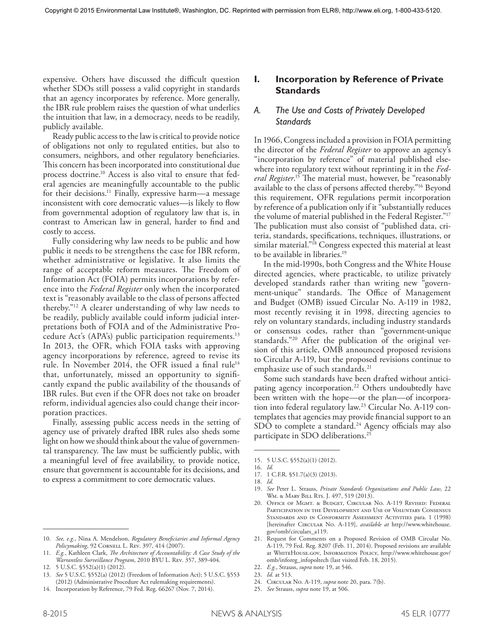expensive. Others have discussed the difficult question whether SDOs still possess a valid copyright in standards that an agency incorporates by reference. More generally, the IBR rule problem raises the question of what underlies the intuition that law, in a democracy, needs to be readily, publicly available.

Ready public access to the law is critical to provide notice of obligations not only to regulated entities, but also to consumers, neighbors, and other regulatory beneficiaries. This concern has been incorporated into constitutional due process doctrine. 10 Access is also vital to ensure that federal agencies are meaningfully accountable to the public for their decisions. 11 Finally, expressive harm—a message inconsistent with core democratic values—is likely to flow from governmental adoption of regulatory law that is, in contrast to American law in general, harder to find and costly to access.

Fully considering why law needs to be public and how public it needs to be strengthens the case for IBR reform, whether administrative or legislative. It also limits the range of acceptable reform measures. The Freedom of Information Act (FOIA) permits incorporations by reference into the *Federal Register* only when the incorporated text is "reasonably available to the class of persons affected thereby."12 A clearer understanding of why law needs to be readily, publicly available could inform judicial interpretations both of FOIA and of the Administrative Procedure Act's (APA's) public participation requirements. 13 In 2013, the OFR, which FOIA tasks with approving agency incorporations by reference, agreed to revise its rule. In November 2014, the OFR issued a final rule<sup>14</sup> that, unfortunately, missed an opportunity to significantly expand the public availability of the thousands of IBR rules. But even if the OFR does not take on broader reform, individual agencies also could change their incorporation practices.

Finally, assessing public access needs in the setting of agency use of privately drafted IBR rules also sheds some light on how we should think about the value of governmental transparency. The law must be sufficiently public, with a meaningful level of free availability, to provide notice, ensure that government is accountable for its decisions, and to express a commitment to core democratic values.

14. Incorporation by Reference, 79 Fed. Reg. 66267 (Nov. 7, 2014).

### **I. Incorporation by Reference of Private Standards**

#### *A. The Use and Costs of Privately Developed Standards*

In 1966, Congress included a provision in FOIA permitting the director of the *Federal Register* to approve an agency's "incorporation by reference" of material published elsewhere into regulatory text without reprinting it in the *Federal Register*. 15 The material must, however, be "reasonably available to the class of persons affected thereby."16 Beyond this requirement, OFR regulations permit incorporation by reference of a publication only if it "substantially reduces the volume of material published in the Federal Register."17 The publication must also consist of "published data, criteria, standards, specifications, techniques, illustrations, or similar material."<sup>18</sup> Congress expected this material at least to be available in libraries. 19

In the mid-1990s, both Congress and the White House directed agencies, where practicable, to utilize privately developed standards rather than writing new "government-unique" standards. The Office of Management and Budget (OMB) issued Circular No. A-119 in 1982, most recently revising it in 1998, directing agencies to rely on voluntary standards, including industry standards or consensus codes, rather than "government-unique standards."20 After the publication of the original version of this article, OMB announced proposed revisions to Circular A-119, but the proposed revisions continue to emphasize use of such standards. 21

Some such standards have been drafted without anticipating agency incorporation. 22 Others undoubtedly have been written with the hope—or the plan—of incorporation into federal regulatory law. 23 Circular No. A-119 contemplates that agencies may provide financial support to an SDO to complete a standard. 24 Agency officials may also participate in SDO deliberations. 25

- 19. *See* Peter L. Strauss, *Private Standards Organizations and Public Law*, 22 WM. & MARY BILL RTS. J. 497, 519 (2013).
- 20. Office of Mgmt. & Budget, Circular No. A-119 Revised: Federal Participation in the Development and Use of Voluntary Consensus Standards and in Conformity Assessment Activities para. 1 (1998) [hereinafter Circular No. A-119], *available at* http://www.whitehouse. gov/omb/circulars\_a119.

25. *See* Strauss, *supra* note 19, at 506.

<sup>10.</sup> *See, e.g.*, Nina A. Mendelson, *Regulatory Beneficiaries and Informal Agency Policymaking*, 92 Cornell L. Rev. 397, 414 (2007).

<sup>11.</sup> *E.g.*, Kathleen Clark, *The Architecture of Accountability: A Case Study of the Warrantless Surveillance Program*, 2010 BYU L. Rev. 357, 389-404.

<sup>12.</sup> 5 U.S.C. §552(a)(1) (2012).

<sup>13.</sup> *See* 5 U.S.C. §552(a) (2012) (Freedom of Information Act); 5 U.S.C. §553 (2012) (Administrative Procedure Act rulemaking requirements).

<sup>15.</sup> 5 U.S.C. §552(a)(1) (2012).

<sup>16.</sup> *Id.*

<sup>17.</sup> 1 C.F.R. §51.7(a)(3) (2013).

<sup>18.</sup> *Id.*

<sup>21.</sup> Request for Comments on a Proposed Revision of OMB Circular No. A-119, 79 Fed. Reg. 8207 (Feb. 11, 2014). Proposed revisions are available at WhiteHouse.gov, Information Policy, http://www.whitehouse.gov/ omb/inforeg\_infopoltech (last visited Feb. 18, 2015).

<sup>22.</sup> *E.g.*, Strauss, *supra* note 19, at 546.

<sup>23.</sup> *Id.* at 513.

<sup>24.</sup> Circular No. A-119, *supra* note 20, para. 7(b).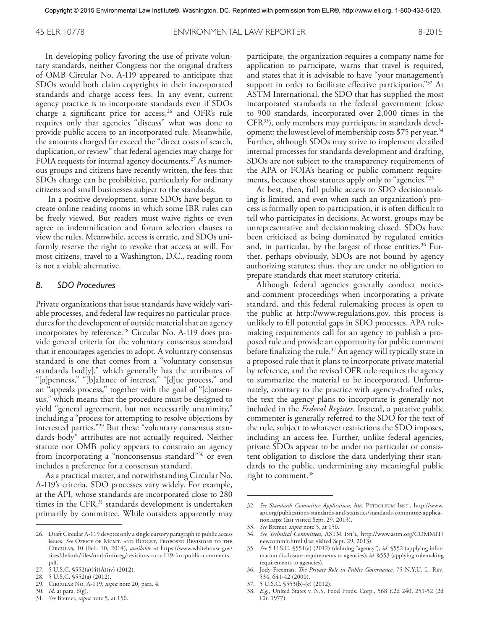In developing policy favoring the use of private voluntary standards, neither Congress nor the original drafters of OMB Circular No. A-119 appeared to anticipate that SDOs would both claim copyrights in their incorporated standards and charge access fees. In any event, current agency practice is to incorporate standards even if SDOs charge a significant price for access,<sup>26</sup> and OFR's rule requires only that agencies "discuss" what was done to provide public access to an incorporated rule. Meanwhile, the amounts charged far exceed the "direct costs of search, duplication, or review" that federal agencies may charge for FOIA requests for internal agency documents. 27 As numerous groups and citizens have recently written, the fees that SDOs charge can be prohibitive, particularly for ordinary citizens and small businesses subject to the standards.

 In a positive development, some SDOs have begun to create online reading rooms in which some IBR rules can be freely viewed. But readers must waive rights or even agree to indemnification and forum selection clauses to view the rules. Meanwhile, access is erratic, and SDOs uniformly reserve the right to revoke that access at will. For most citizens, travel to a Washington, D.C., reading room is not a viable alternative.

#### *B. SDO Procedures*

Private organizations that issue standards have widely variable processes, and federal law requires no particular procedures for the development of outside material that an agency incorporates by reference. 28 Circular No. A-119 does provide general criteria for the voluntary consensus standard that it encourages agencies to adopt. A voluntary consensus standard is one that comes from a "voluntary consensus standards bod[y]," which generally has the attributes of "[o]penness," "[b]alance of interest," "[d]ue process," and an "appeals process," together with the goal of "[c]onsensus," which means that the procedure must be designed to yield "general agreement, but not necessarily unanimity," including a "process for attempting to resolve objections by interested parties."29 But these "voluntary consensus standards body" attributes are not actually required. Neither statute nor OMB policy appears to constrain an agency from incorporating a "nonconsensus standard"<sup>30</sup> or even includes a preference for a consensus standard.

As a practical matter, and notwithstanding Circular No. A-119's criteria, SDO processes vary widely. For example, at the API, whose standards are incorporated close to 280 times in the CFR,<sup>31</sup> standards development is undertaken primarily by committee. While outsiders apparently may participate, the organization requires a company name for application to participate, warns that travel is required, and states that it is advisable to have "your management's support in order to facilitate effective participation."<sup>32</sup> At ASTM International, the SDO that has supplied the most incorporated standards to the federal government (close to 900 standards, incorporated over 2,000 times in the CFR<sup>35</sup>), only members may participate in standards development; the lowest level of membership costs \$75 per year. 34 Further, although SDOs may strive to implement detailed internal processes for standards development and drafting, SDOs are not subject to the transparency requirements of the APA or FOIA's hearing or public comment requirements, because those statutes apply only to "agencies."35

At best, then, full public access to SDO decisionmaking is limited, and even when such an organization's process is formally open to participation, it is often difficult to tell who participates in decisions. At worst, groups may be unrepresentative and decisionmaking closed. SDOs have been criticized as being dominated by regulated entities and, in particular, by the largest of those entities. 36 Further, perhaps obviously, SDOs are not bound by agency authorizing statutes; thus, they are under no obligation to prepare standards that meet statutory criteria.

Although federal agencies generally conduct noticeand-comment proceedings when incorporating a private standard, and this federal rulemaking process is open to the public at http://www.regulations.gov, this process is unlikely to fill potential gaps in SDO processes. APA rulemaking requirements call for an agency to publish a proposed rule and provide an opportunity for public comment before finalizing the rule. 37 An agency will typically state in a proposed rule that it plans to incorporate private material by reference, and the revised OFR rule requires the agency to summarize the material to be incorporated. Unfortunately, contrary to the practice with agency-drafted rules, the text the agency plans to incorporate is generally not included in the *Federal Register*. Instead, a putative public commenter is generally referred to the SDO for the text of the rule, subject to whatever restrictions the SDO imposes, including an access fee. Further, unlike federal agencies, private SDOs appear to be under no particular or consistent obligation to disclose the data underlying their standards to the public, undermining any meaningful public right to comment. 38

36. Jody Freeman, *The Private Role in Public Governance*, 75 N.Y.U. L. Rev. 534, 641-42 (2000).

38. *E.g.*, United States v. N.S. Food Prods. Corp., 568 F.2d 240, 251-52 (2d Cir. 1977).

<sup>26.</sup> Draft Circular A-119 devotes only a single cursory paragraph to public access issues. *See* Office of Mgmt. and Budget, Proposed Revisions to the Circular, 10 (Feb. 10, 2014), *available at* https://www.whitehouse.gov/ sites/default/files/omb/inforeg/revisions-to-a-119-for-public-comments. pdf.

<sup>27.</sup> 5 U.S.C. §552(a)(4)(A)(iv) (2012).

<sup>28.</sup> 5 U.S.C. §552(a) (2012).

<sup>29.</sup> Circular No. A-119, *supra* note 20, para. 4.

<sup>30.</sup> *Id*. at para. 6(g).

<sup>31.</sup> *See* Bremer, *supra* note 5, at 150.

<sup>32.</sup> *See Standards Committee Application*, Am. Petroleum Inst., http://www. api.org/publications-standards-and-statistics/standards-committee-application.aspx (last visited Sept. 29, 2013).

<sup>33.</sup> *See* Bremer, *supra* note 5, at 150.

<sup>34.</sup> *See Technical Committees*, ASTM Int'l, http://www.astm.org/COMMIT/ newcommit.html (last visited Sept. 29, 2013).

<sup>35.</sup> *See* 5 U.S.C. §551(a) (2012) (defining "agency"); *id.* §552 (applying information disclosure requirements to agencies); *id.* §553 (applying rulemaking requirements to agencies).

<sup>37.</sup> 5 U.S.C. §553(b)-(c) (2012).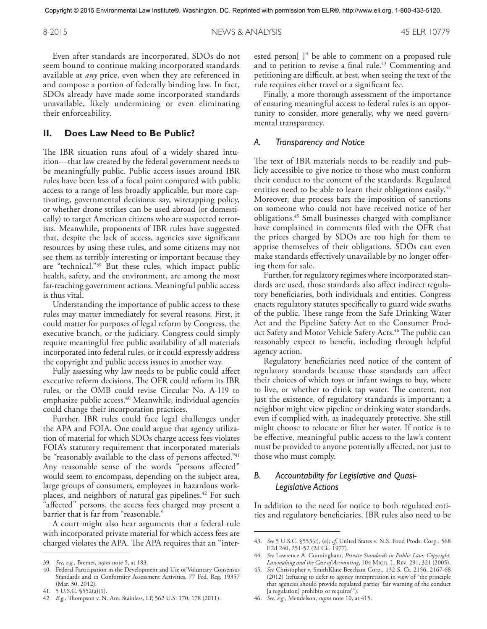8-2015 NEWS & ANALYSIS 45 ELR 10779

Even after standards are incorporated, SDOs do not seem bound to continue making incorporated standards available at *any* price, even when they are referenced in and compose a portion of federally binding law. In fact, SDOs already have made some incorporated standards unavailable, likely undermining or even eliminating their enforceability.

#### **II. Does Law Need to Be Public?**

The IBR situation runs afoul of a widely shared intuition—that law created by the federal government needs to be meaningfully public. Public access issues around IBR rules have been less of a focal point compared with public access to a range of less broadly applicable, but more captivating, governmental decisions: say, wiretapping policy, or whether drone strikes can be used abroad (or domestically) to target American citizens who are suspected terrorists. Meanwhile, proponents of IBR rules have suggested that, despite the lack of access, agencies save significant resources by using these rules, and some citizens may not see them as terribly interesting or important because they are "technical."39 But these rules, which impact public health, safety, and the environment, are among the most far-reaching government actions. Meaningful public access is thus vital.

Understanding the importance of public access to these rules may matter immediately for several reasons. First, it could matter for purposes of legal reform by Congress, the executive branch, or the judiciary. Congress could simply require meaningful free public availability of all materials incorporated into federal rules, or it could expressly address the copyright and public access issues in another way.

Fully assessing why law needs to be public could affect executive reform decisions. The OFR could reform its IBR rules, or the OMB could revise Circular No. A-119 to emphasize public access. 40 Meanwhile, individual agencies could change their incorporation practices.

Further, IBR rules could face legal challenges under the APA and FOIA. One could argue that agency utilization of material for which SDOs charge access fees violates FOIA's statutory requirement that incorporated materials be "reasonably available to the class of persons affected." 41 Any reasonable sense of the words "persons affected" would seem to encompass, depending on the subject area, large groups of consumers, employees in hazardous workplaces, and neighbors of natural gas pipelines. 42 For such "affected" persons, the access fees charged may present a barrier that is far from "reasonable."

A court might also hear arguments that a federal rule with incorporated private material for which access fees are charged violates the APA. The APA requires that an "interested person[ ]" be able to comment on a proposed rule and to petition to revise a final rule. 43 Commenting and petitioning are difficult, at best, when seeing the text of the rule requires either travel or a significant fee.

Finally, a more thorough assessment of the importance of ensuring meaningful access to federal rules is an opportunity to consider, more generally, why we need governmental transparency.

#### *A. Transparency and Notice*

The text of IBR materials needs to be readily and publicly accessible to give notice to those who must conform their conduct to the content of the standards. Regulated entities need to be able to learn their obligations easily.<sup>44</sup> Moreover, due process bars the imposition of sanctions on someone who could not have received notice of her obligations. 45 Small businesses charged with compliance have complained in comments filed with the OFR that the prices charged by SDOs are too high for them to apprise themselves of their obligations. SDOs can even make standards effectively unavailable by no longer offering them for sale.

Further, for regulatory regimes where incorporated standards are used, those standards also affect indirect regulatory beneficiaries, both individuals and entities. Congress enacts regulatory statutes specifically to guard wide swaths of the public. These range from the Safe Drinking Water Act and the Pipeline Safety Act to the Consumer Product Safety and Motor Vehicle Safety Acts. 46 The public can reasonably expect to benefit, including through helpful agency action.

Regulatory beneficiaries need notice of the content of regulatory standards because those standards can affect their choices of which toys or infant swings to buy, where to live, or whether to drink tap water. The content, not just the existence, of regulatory standards is important; a neighbor might view pipeline or drinking water standards, even if complied with, as inadequately protective. She still might choose to relocate or filter her water. If notice is to be effective, meaningful public access to the law's content must be provided to anyone potentially affected, not just to those who must comply.

### *B. Accountability for Legislative and Quasi-Legislative Actions*

In addition to the need for notice to both regulated entities and regulatory beneficiaries, IBR rules also need to be

<sup>39.</sup> *See, e.g.*, Bremer, *supra* note 5, at 183.

Federal Participation in the Development and Use of Voluntary Consensus Standards and in Conformity Assessment Activities, 77 Fed. Reg. 19357 (Mar. 30, 2012).

<sup>41.</sup> 5 U.S.C. §552(a)(1).

<sup>42.</sup> *E.g.*, Thompson v. N. Am. Stainless, LP, 562 U.S. 170, 178 (2011).

<sup>43.</sup> *See* 5 U.S.C. §553(c), (e); *cf.* United States v. N.S. Food Prods. Corp., 568 F.2d 240, 251-52 (2d Cir. 1977).

<sup>44.</sup> *See* Lawrence A. Cunningham, *Private Standards in Public Law: Copyright, Lawmaking and the Case of Accounting*, 104 Mich. L. Rev. 291, 321 (2005).

<sup>45.</sup> *See* Christopher v. SmithKline Beecham Corp., 132 S. Ct. 2156, 2167-68 (2012) (refusing to defer to agency interpretation in view of "the principle that agencies should provide regulated parties 'fair warning of the conduct [a regulation] prohibits or requires").

<sup>46.</sup> *See, e.g.,* Mendelson, *supra* note 10, at 415.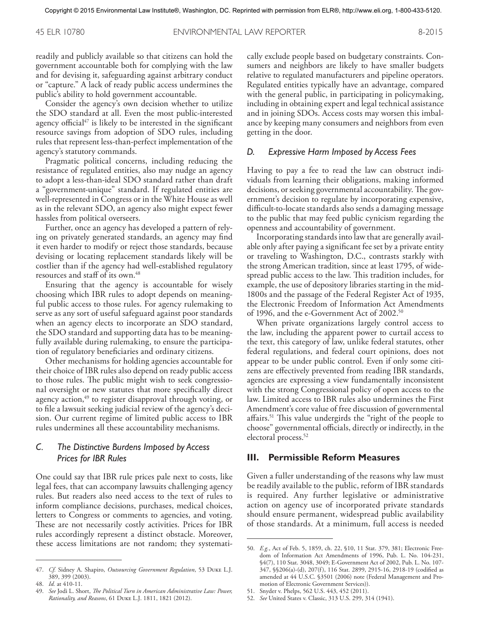45 ELR 10780 ENVIRONMENTAL LAW REPORTER 8-2015

readily and publicly available so that citizens can hold the government accountable both for complying with the law and for devising it, safeguarding against arbitrary conduct or "capture." A lack of ready public access undermines the public's ability to hold government accountable.

Consider the agency's own decision whether to utilize the SDO standard at all. Even the most public-interested agency official $47$  is likely to be interested in the significant resource savings from adoption of SDO rules, including rules that represent less-than-perfect implementation of the agency's statutory commands.

Pragmatic political concerns, including reducing the resistance of regulated entities, also may nudge an agency to adopt a less-than-ideal SDO standard rather than draft a "government-unique" standard. If regulated entities are well-represented in Congress or in the White House as well as in the relevant SDO, an agency also might expect fewer hassles from political overseers.

Further, once an agency has developed a pattern of relying on privately generated standards, an agency may find it even harder to modify or reject those standards, because devising or locating replacement standards likely will be costlier than if the agency had well-established regulatory resources and staff of its own. 48

Ensuring that the agency is accountable for wisely choosing which IBR rules to adopt depends on meaningful public access to those rules. For agency rulemaking to serve as any sort of useful safeguard against poor standards when an agency elects to incorporate an SDO standard, the SDO standard and supporting data has to be meaningfully available during rulemaking, to ensure the participation of regulatory beneficiaries and ordinary citizens.

Other mechanisms for holding agencies accountable for their choice of IBR rules also depend on ready public access to those rules. The public might wish to seek congressional oversight or new statutes that more specifically direct agency action,<sup>49</sup> to register disapproval through voting, or to file a lawsuit seeking judicial review of the agency's decision. Our current regime of limited public access to IBR rules undermines all these accountability mechanisms.

#### *C. The Distinctive Burdens Imposed by Access Prices for IBR Rules*

One could say that IBR rule prices pale next to costs, like legal fees, that can accompany lawsuits challenging agency rules. But readers also need access to the text of rules to inform compliance decisions, purchases, medical choices, letters to Congress or comments to agencies, and voting. These are not necessarily costly activities. Prices for IBR rules accordingly represent a distinct obstacle. Moreover, these access limitations are not random; they systematically exclude people based on budgetary constraints. Consumers and neighbors are likely to have smaller budgets relative to regulated manufacturers and pipeline operators. Regulated entities typically have an advantage, compared with the general public, in participating in policymaking, including in obtaining expert and legal technical assistance and in joining SDOs. Access costs may worsen this imbalance by keeping many consumers and neighbors from even getting in the door.

#### *D. Expressive Harm Imposed by Access Fees*

Having to pay a fee to read the law can obstruct individuals from learning their obligations, making informed decisions, or seeking governmental accountability. The government's decision to regulate by incorporating expensive, difficult-to-locate standards also sends a damaging message to the public that may feed public cynicism regarding the openness and accountability of government.

Incorporating standards into law that are generally available only after paying a significant fee set by a private entity or traveling to Washington, D.C., contrasts starkly with the strong American tradition, since at least 1795, of widespread public access to the law. This tradition includes, for example, the use of depository libraries starting in the mid-1800s and the passage of the Federal Register Act of 1935, the Electronic Freedom of Information Act Amendments of 1996, and the e-Government Act of 2002. 50

When private organizations largely control access to the law, including the apparent power to curtail access to the text, this category of law, unlike federal statutes, other federal regulations, and federal court opinions, does not appear to be under public control. Even if only some citizens are effectively prevented from reading IBR standards, agencies are expressing a view fundamentally inconsistent with the strong Congressional policy of open access to the law. Limited access to IBR rules also undermines the First Amendment's core value of free discussion of governmental affairs. 51 This value undergirds the "right of the people to choose" governmental officials, directly or indirectly, in the electoral process. 52

#### **III. Permissible Reform Measures**

Given a fuller understanding of the reasons why law must be readily available to the public, reform of IBR standards is required. Any further legislative or administrative action on agency use of incorporated private standards should ensure permanent, widespread public availability of those standards. At a minimum, full access is needed

<sup>47.</sup> *Cf.* Sidney A. Shapiro, *Outsourcing Government Regulation*, 53 Duke L.J. 389, 399 (2003).

<sup>48.</sup> *Id.* at 410-11.

<sup>49.</sup> *See* Jodi L. Short, *The Political Turn in American Administrative Law: Power, Rationality, and Reasons*, 61 Duke L.J. 1811, 1821 (2012).

<sup>50.</sup> *E.g.*, Act of Feb. 5, 1859, ch. 22, §10, 11 Stat. 379, 381; Electronic Freedom of Information Act Amendments of 1996, Pub. L. No. 104-231, §4(7), 110 Stat. 3048, 3049; E-Government Act of 2002, Pub. L. No. 107- 347, §§206(a)-(d), 207(f), 116 Stat. 2899, 2915-16, 2918-19 (codified as amended at 44 U.S.C. §3501 (2006) note (Federal Management and Promotion of Electronic Government Services)).

<sup>51.</sup> Snyder v. Phelps, 562 U.S. 443, 452 (2011).

<sup>52.</sup> *See* United States v. Classic, 313 U.S. 299, 314 (1941).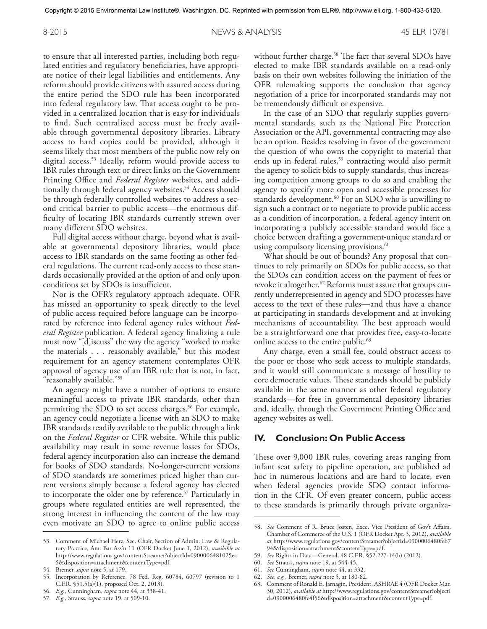8-2015 NEWS & ANALYSIS 45 ELR 10781

to ensure that all interested parties, including both regulated entities and regulatory beneficiaries, have appropriate notice of their legal liabilities and entitlements. Any reform should provide citizens with assured access during the entire period the SDO rule has been incorporated into federal regulatory law. That access ought to be provided in a centralized location that is easy for individuals to find. Such centralized access must be freely available through governmental depository libraries. Library access to hard copies could be provided, although it seems likely that most members of the public now rely on digital access. 53 Ideally, reform would provide access to IBR rules through text or direct links on the Government Printing Office and *Federal Register* websites, and additionally through federal agency websites. 54 Access should be through federally controlled websites to address a second critical barrier to public access—the enormous difficulty of locating IBR standards currently strewn over many different SDO websites.

Full digital access without charge, beyond what is available at governmental depository libraries, would place access to IBR standards on the same footing as other federal regulations. The current read-only access to these standards occasionally provided at the option of and only upon conditions set by SDOs is insufficient.

Nor is the OFR's regulatory approach adequate. OFR has missed an opportunity to speak directly to the level of public access required before language can be incorporated by reference into federal agency rules without *Federal Register* publication. A federal agency finalizing a rule must now "[d]iscuss" the way the agency "worked to make the materials ... reasonably available," but this modest requirement for an agency statement contemplates OFR approval of agency use of an IBR rule that is not, in fact, "reasonably available."55

An agency might have a number of options to ensure meaningful access to private IBR standards, other than permitting the SDO to set access charges. 56 For example, an agency could negotiate a license with an SDO to make IBR standards readily available to the public through a link on the *Federal Register* or CFR website. While this public availability may result in some revenue losses for SDOs, federal agency incorporation also can increase the demand for books of SDO standards. No-longer-current versions of SDO standards are sometimes priced higher than current versions simply because a federal agency has elected to incorporate the older one by reference. 57 Particularly in groups where regulated entities are well represented, the strong interest in influencing the content of the law may even motivate an SDO to agree to online public access

without further charge. 58 The fact that several SDOs have elected to make IBR standards available on a read-only basis on their own websites following the initiation of the OFR rulemaking supports the conclusion that agency negotiation of a price for incorporated standards may not be tremendously difficult or expensive.

In the case of an SDO that regularly supplies governmental standards, such as the National Fire Protection Association or the API, governmental contracting may also be an option. Besides resolving in favor of the government the question of who owns the copyright to material that ends up in federal rules,<sup>59</sup> contracting would also permit the agency to solicit bids to supply standards, thus increasing competition among groups to do so and enabling the agency to specify more open and accessible processes for standards development. 60 For an SDO who is unwilling to sign such a contract or to negotiate to provide public access as a condition of incorporation, a federal agency intent on incorporating a publicly accessible standard would face a choice between drafting a government-unique standard or using compulsory licensing provisions. 61

What should be out of bounds? Any proposal that continues to rely primarily on SDOs for public access, so that the SDOs can condition access on the payment of fees or revoke it altogether. 62 Reforms must assure that groups currently underrepresented in agency and SDO processes have access to the text of these rules—and thus have a chance at participating in standards development and at invoking mechanisms of accountability. The best approach would be a straightforward one that provides free, easy-to-locate online access to the entire public. 63

Any charge, even a small fee, could obstruct access to the poor or those who seek access to multiple standards, and it would still communicate a message of hostility to core democratic values. These standards should be publicly available in the same manner as other federal regulatory standards—for free in governmental depository libraries and, ideally, through the Government Printing Office and agency websites as well.

#### **IV. Conclusion: On Public Access**

These over 9,000 IBR rules, covering areas ranging from infant seat safety to pipeline operation, are published ad hoc in numerous locations and are hard to locate, even when federal agencies provide SDO contact information in the CFR. Of even greater concern, public access to these standards is primarily through private organiza-

<sup>53.</sup> Comment of Michael Herz, Sec. Chair, Section of Admin. Law & Regulatory Practice, Am. Bar Ass'n 11 (OFR Docket June 1, 2012), *available at* http://www.regulations.gov/contentStreamer?objectId=0900006481025ea 5&disposition=attachment&contentType=pdf.

<sup>54.</sup> Bremer, *supra* note 5, at 179.

<sup>55.</sup> Incorporation by Reference, 78 Fed. Reg. 60784, 60797 (revision to 1 C.F.R. §51.5(a)(1), proposed Oct. 2, 2013).

<sup>56.</sup> *E.g.*, Cunningham, *supra* note 44, at 338-41.

<sup>57.</sup> *E.g.*, Strauss, *supra* note 19, at 509-10.

<sup>58.</sup> *See* Comment of R. Bruce Josten, Exec. Vice President of Gov't Affairs, Chamber of Commerce of the U.S. 1 (OFR Docket Apr. 3, 2012), *available at* http://www.regulations.gov/contentStreamer?objectId=0900006480feb7 94&disposition=attachment&contentType=pdf.

<sup>59.</sup> *See* Rights in Data—General, 48 C.F.R. §52.227-14(b) (2012).

<sup>60.</sup> *See* Strauss, *supra* note 19, at 544-45.

<sup>61.</sup> *See* Cunningham, *supra* note 44, at 332.

<sup>62.</sup> *See, e.g.*, Bremer, *supra* note 5, at 180-82.

<sup>63.</sup> Comment of Ronald E. Jarnagin, President, ASHRAE 4 (OFR Docket Mar. 30, 2012), *available at* http://www.regulations.gov/contentStreamer?objectI d=0900006480fe4f56&disposition=attachment&contentType=pdf.